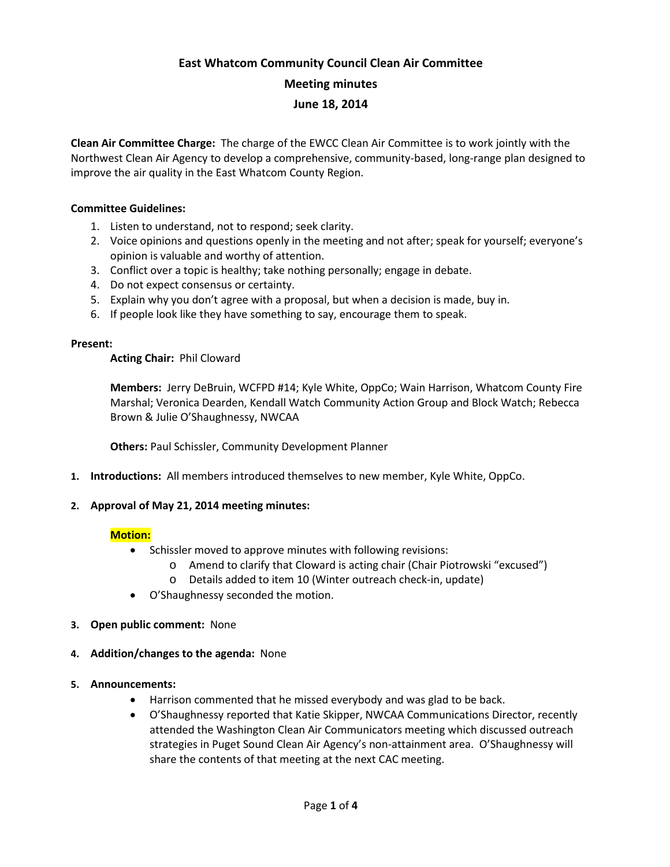# **East Whatcom Community Council Clean Air Committee**

**Meeting minutes**

## **June 18, 2014**

**Clean Air Committee Charge:** The charge of the EWCC Clean Air Committee is to work jointly with the Northwest Clean Air Agency to develop a comprehensive, community-based, long-range plan designed to improve the air quality in the East Whatcom County Region.

## **Committee Guidelines:**

- 1. Listen to understand, not to respond; seek clarity.
- 2. Voice opinions and questions openly in the meeting and not after; speak for yourself; everyone's opinion is valuable and worthy of attention.
- 3. Conflict over a topic is healthy; take nothing personally; engage in debate.
- 4. Do not expect consensus or certainty.
- 5. Explain why you don't agree with a proposal, but when a decision is made, buy in.
- 6. If people look like they have something to say, encourage them to speak.

#### **Present:**

**Acting Chair:** Phil Cloward

**Members:** Jerry DeBruin, WCFPD #14; Kyle White, OppCo; Wain Harrison, Whatcom County Fire Marshal; Veronica Dearden, Kendall Watch Community Action Group and Block Watch; Rebecca Brown & Julie O'Shaughnessy, NWCAA

**Others:** Paul Schissler, Community Development Planner

**1. Introductions:** All members introduced themselves to new member, Kyle White, OppCo.

#### **2. Approval of May 21, 2014 meeting minutes:**

#### **Motion:**

- Schissler moved to approve minutes with following revisions:
	- o Amend to clarify that Cloward is acting chair (Chair Piotrowski "excused")
	- o Details added to item 10 (Winter outreach check-in, update)
- O'Shaughnessy seconded the motion.
- **3. Open public comment:** None
- **4. Addition/changes to the agenda:** None
- **5. Announcements:**
	- Harrison commented that he missed everybody and was glad to be back.
	- O'Shaughnessy reported that Katie Skipper, NWCAA Communications Director, recently attended the Washington Clean Air Communicators meeting which discussed outreach strategies in Puget Sound Clean Air Agency's non-attainment area. O'Shaughnessy will share the contents of that meeting at the next CAC meeting.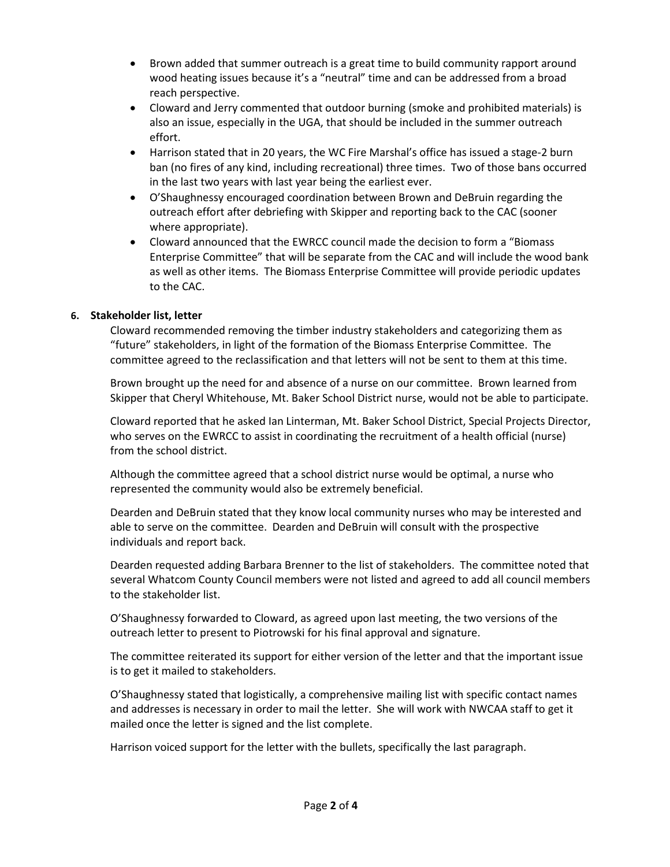- Brown added that summer outreach is a great time to build community rapport around wood heating issues because it's a "neutral" time and can be addressed from a broad reach perspective.
- Cloward and Jerry commented that outdoor burning (smoke and prohibited materials) is also an issue, especially in the UGA, that should be included in the summer outreach effort.
- Harrison stated that in 20 years, the WC Fire Marshal's office has issued a stage-2 burn ban (no fires of any kind, including recreational) three times. Two of those bans occurred in the last two years with last year being the earliest ever.
- O'Shaughnessy encouraged coordination between Brown and DeBruin regarding the outreach effort after debriefing with Skipper and reporting back to the CAC (sooner where appropriate).
- Cloward announced that the EWRCC council made the decision to form a "Biomass Enterprise Committee" that will be separate from the CAC and will include the wood bank as well as other items. The Biomass Enterprise Committee will provide periodic updates to the CAC.

# **6. Stakeholder list, letter**

Cloward recommended removing the timber industry stakeholders and categorizing them as "future" stakeholders, in light of the formation of the Biomass Enterprise Committee. The committee agreed to the reclassification and that letters will not be sent to them at this time.

Brown brought up the need for and absence of a nurse on our committee. Brown learned from Skipper that Cheryl Whitehouse, Mt. Baker School District nurse, would not be able to participate.

Cloward reported that he asked Ian Linterman, Mt. Baker School District, Special Projects Director, who serves on the EWRCC to assist in coordinating the recruitment of a health official (nurse) from the school district.

Although the committee agreed that a school district nurse would be optimal, a nurse who represented the community would also be extremely beneficial.

Dearden and DeBruin stated that they know local community nurses who may be interested and able to serve on the committee. Dearden and DeBruin will consult with the prospective individuals and report back.

Dearden requested adding Barbara Brenner to the list of stakeholders. The committee noted that several Whatcom County Council members were not listed and agreed to add all council members to the stakeholder list.

O'Shaughnessy forwarded to Cloward, as agreed upon last meeting, the two versions of the outreach letter to present to Piotrowski for his final approval and signature.

The committee reiterated its support for either version of the letter and that the important issue is to get it mailed to stakeholders.

O'Shaughnessy stated that logistically, a comprehensive mailing list with specific contact names and addresses is necessary in order to mail the letter. She will work with NWCAA staff to get it mailed once the letter is signed and the list complete.

Harrison voiced support for the letter with the bullets, specifically the last paragraph.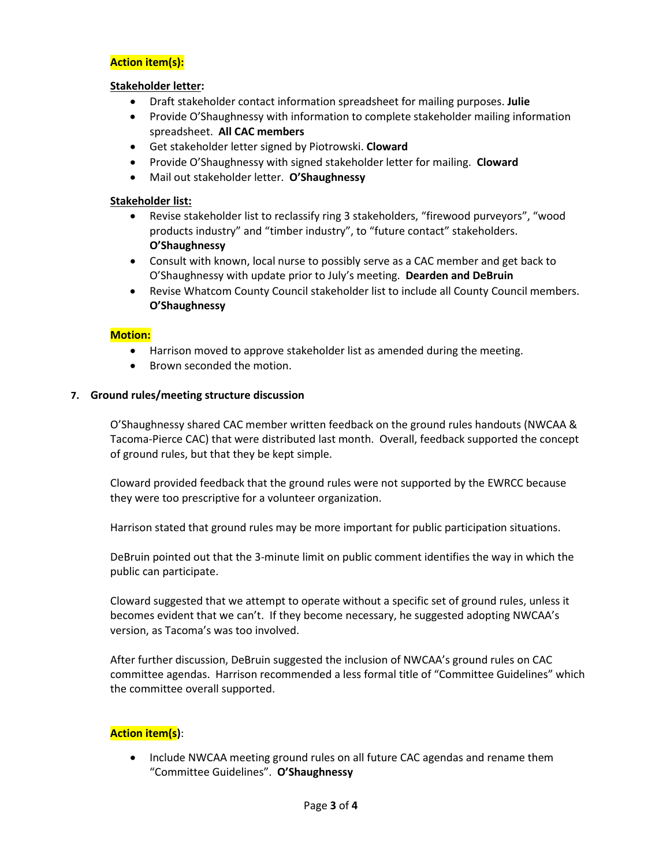## **Action item(s):**

#### **Stakeholder letter:**

- Draft stakeholder contact information spreadsheet for mailing purposes. **Julie**
- Provide O'Shaughnessy with information to complete stakeholder mailing information spreadsheet. **All CAC members**
- Get stakeholder letter signed by Piotrowski. **Cloward**
- Provide O'Shaughnessy with signed stakeholder letter for mailing. **Cloward**
- Mail out stakeholder letter. **O'Shaughnessy**

#### **Stakeholder list:**

- Revise stakeholder list to reclassify ring 3 stakeholders, "firewood purveyors", "wood products industry" and "timber industry", to "future contact" stakeholders. **O'Shaughnessy**
- Consult with known, local nurse to possibly serve as a CAC member and get back to O'Shaughnessy with update prior to July's meeting. **Dearden and DeBruin**
- Revise Whatcom County Council stakeholder list to include all County Council members. **O'Shaughnessy**

#### **Motion:**

- Harrison moved to approve stakeholder list as amended during the meeting.
- Brown seconded the motion.

#### **7. Ground rules/meeting structure discussion**

O'Shaughnessy shared CAC member written feedback on the ground rules handouts (NWCAA & Tacoma-Pierce CAC) that were distributed last month. Overall, feedback supported the concept of ground rules, but that they be kept simple.

Cloward provided feedback that the ground rules were not supported by the EWRCC because they were too prescriptive for a volunteer organization.

Harrison stated that ground rules may be more important for public participation situations.

DeBruin pointed out that the 3-minute limit on public comment identifies the way in which the public can participate.

Cloward suggested that we attempt to operate without a specific set of ground rules, unless it becomes evident that we can't. If they become necessary, he suggested adopting NWCAA's version, as Tacoma's was too involved.

After further discussion, DeBruin suggested the inclusion of NWCAA's ground rules on CAC committee agendas. Harrison recommended a less formal title of "Committee Guidelines" which the committee overall supported.

#### **Action item(s)**:

• Include NWCAA meeting ground rules on all future CAC agendas and rename them "Committee Guidelines". **O'Shaughnessy**